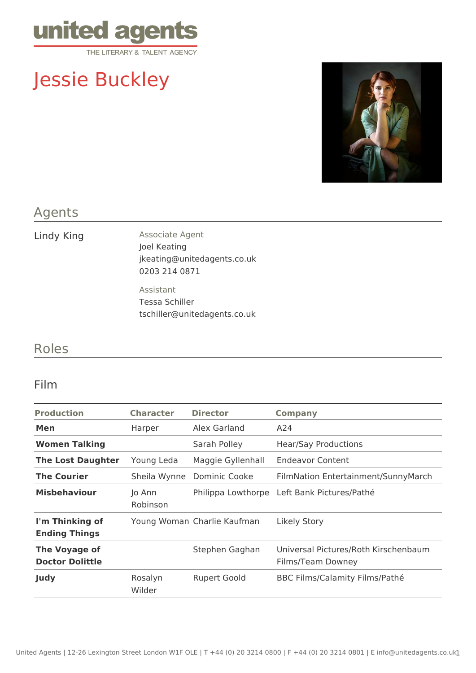

# Jessie Buckley



#### Agents

Lindy King **Associate Agent** Joel Keating jkeating@unitedagents.co.uk 0203 214 0871

> Assistant Tessa Schiller tschiller@unitedagents.co.uk

### Roles

#### Film

| <b>Character</b>   | <b>Director</b>     | <b>Company</b>                                            |
|--------------------|---------------------|-----------------------------------------------------------|
| Harper             | Alex Garland        | A24                                                       |
|                    | Sarah Polley        | <b>Hear/Say Productions</b>                               |
| Young Leda         | Maggie Gyllenhall   | <b>Endeavor Content</b>                                   |
| Sheila Wynne       | Dominic Cooke       | FilmNation Entertainment/SunnyMarch                       |
| Jo Ann<br>Robinson |                     | Philippa Lowthorpe Left Bank Pictures/Pathé               |
|                    |                     | Likely Story                                              |
|                    | Stephen Gaghan      | Universal Pictures/Roth Kirschenbaum<br>Films/Team Downey |
| Rosalyn<br>Wilder  | <b>Rupert Goold</b> | BBC Films/Calamity Films/Pathé                            |
|                    |                     | Young Woman Charlie Kaufman                               |